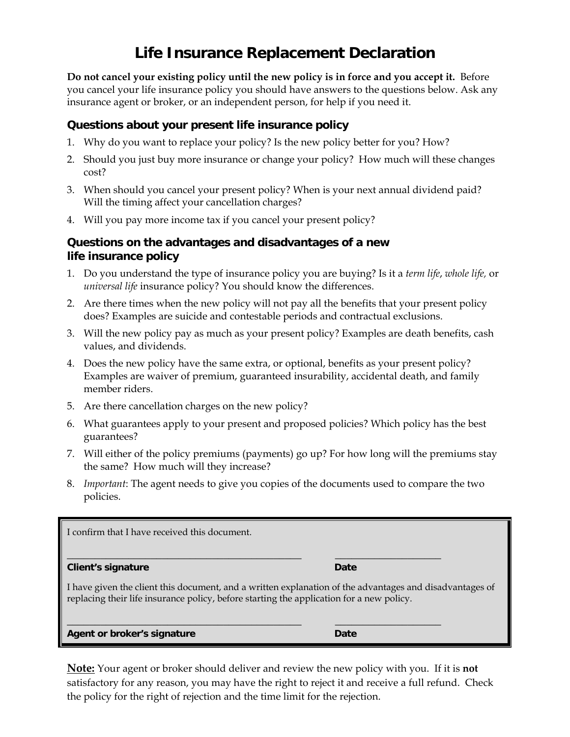## **Life Insurance Replacement Declaration**

**Do not cancel your existing policy until the new policy is in force and you accept it.** Before you cancel your life insurance policy you should have answers to the questions below. Ask any insurance agent or broker, or an independent person, for help if you need it.

## **Questions about your present life insurance policy**

- 1. Why do you want to replace your policy? Is the new policy better for you? How?
- 2. Should you just buy more insurance or change your policy? How much will these changes cost?
- 3. When should you cancel your present policy? When is your next annual dividend paid? Will the timing affect your cancellation charges?
- 4. Will you pay more income tax if you cancel your present policy?

## **Questions on the advantages and disadvantages of a new life insurance policy**

- 1. Do you understand the type of insurance policy you are buying? Is it a *term life*, *whole life,* or *universal life* insurance policy? You should know the differences.
- 2. Are there times when the new policy will not pay all the benefits that your present policy does? Examples are suicide and contestable periods and contractual exclusions.
- 3. Will the new policy pay as much as your present policy? Examples are death benefits, cash values, and dividends.
- 4. Does the new policy have the same extra, or optional, benefits as your present policy? Examples are waiver of premium, guaranteed insurability, accidental death, and family member riders.
- 5. Are there cancellation charges on the new policy?
- 6. What guarantees apply to your present and proposed policies? Which policy has the best guarantees?
- 7. Will either of the policy premiums (payments) go up? For how long will the premiums stay the same? How much will they increase?
- 8. *Important*: The agent needs to give you copies of the documents used to compare the two policies.

| I confirm that I have received this document.                                                                                                                                                       |      |
|-----------------------------------------------------------------------------------------------------------------------------------------------------------------------------------------------------|------|
| <b>Client's signature</b>                                                                                                                                                                           | Date |
| I have given the client this document, and a written explanation of the advantages and disadvantages of<br>replacing their life insurance policy, before starting the application for a new policy. |      |
| Agent or broker's signature                                                                                                                                                                         | Date |

**Note:** Your agent or broker should deliver and review the new policy with you. If it is **not** satisfactory for any reason, you may have the right to reject it and receive a full refund. Check the policy for the right of rejection and the time limit for the rejection.